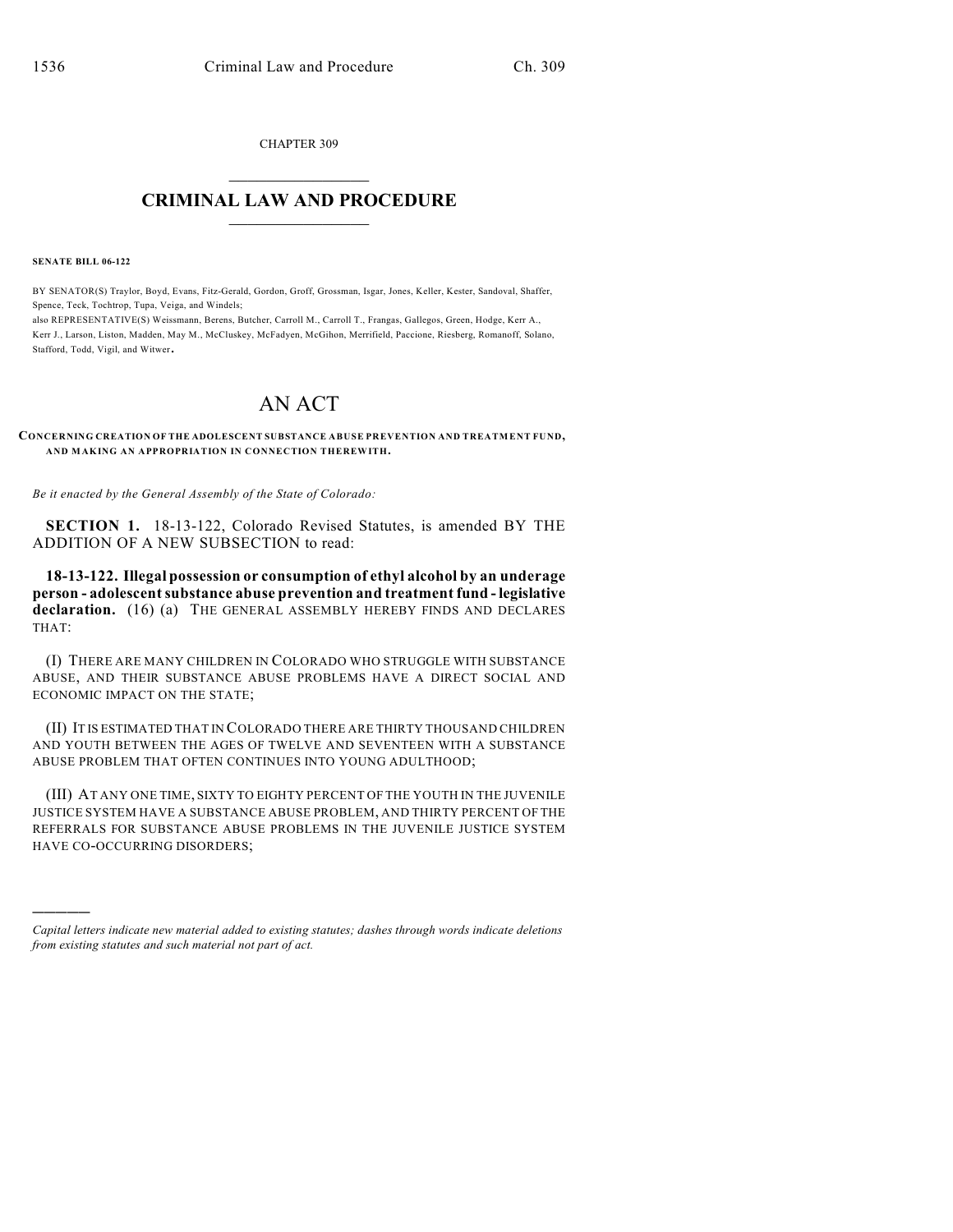CHAPTER 309  $\mathcal{L}_\text{max}$  . The set of the set of the set of the set of the set of the set of the set of the set of the set of the set of the set of the set of the set of the set of the set of the set of the set of the set of the set

## **CRIMINAL LAW AND PROCEDURE**  $\frac{1}{2}$  ,  $\frac{1}{2}$  ,  $\frac{1}{2}$  ,  $\frac{1}{2}$  ,  $\frac{1}{2}$  ,  $\frac{1}{2}$  ,  $\frac{1}{2}$

**SENATE BILL 06-122**

)))))

BY SENATOR(S) Traylor, Boyd, Evans, Fitz-Gerald, Gordon, Groff, Grossman, Isgar, Jones, Keller, Kester, Sandoval, Shaffer, Spence, Teck, Tochtrop, Tupa, Veiga, and Windels;

also REPRESENTATIVE(S) Weissmann, Berens, Butcher, Carroll M., Carroll T., Frangas, Gallegos, Green, Hodge, Kerr A., Kerr J., Larson, Liston, Madden, May M., McCluskey, McFadyen, McGihon, Merrifield, Paccione, Riesberg, Romanoff, Solano, Stafford, Todd, Vigil, and Witwer.

## AN ACT

**CONCERNING CREATION OF THE ADOLESCENT SUBSTANCE ABUSE PREVENTION AND TREATMENT FUND, AND MAKING AN APPROPRIATION IN CONNECTION THEREWITH.**

*Be it enacted by the General Assembly of the State of Colorado:*

**SECTION 1.** 18-13-122, Colorado Revised Statutes, is amended BY THE ADDITION OF A NEW SUBSECTION to read:

**18-13-122. Illegal possession or consumption of ethyl alcohol by an underage person - adolescent substance abuse prevention and treatment fund - legislative** declaration. (16) (a) THE GENERAL ASSEMBLY HEREBY FINDS AND DECLARES THAT:

(I) THERE ARE MANY CHILDREN IN COLORADO WHO STRUGGLE WITH SUBSTANCE ABUSE, AND THEIR SUBSTANCE ABUSE PROBLEMS HAVE A DIRECT SOCIAL AND ECONOMIC IMPACT ON THE STATE;

(II) IT IS ESTIMATED THAT IN COLORADO THERE ARE THIRTY THOUSAND CHILDREN AND YOUTH BETWEEN THE AGES OF TWELVE AND SEVENTEEN WITH A SUBSTANCE ABUSE PROBLEM THAT OFTEN CONTINUES INTO YOUNG ADULTHOOD;

(III) AT ANY ONE TIME, SIXTY TO EIGHTY PERCENT OF THE YOUTH IN THE JUVENILE JUSTICE SYSTEM HAVE A SUBSTANCE ABUSE PROBLEM, AND THIRTY PERCENT OF THE REFERRALS FOR SUBSTANCE ABUSE PROBLEMS IN THE JUVENILE JUSTICE SYSTEM HAVE CO-OCCURRING DISORDERS;

*Capital letters indicate new material added to existing statutes; dashes through words indicate deletions from existing statutes and such material not part of act.*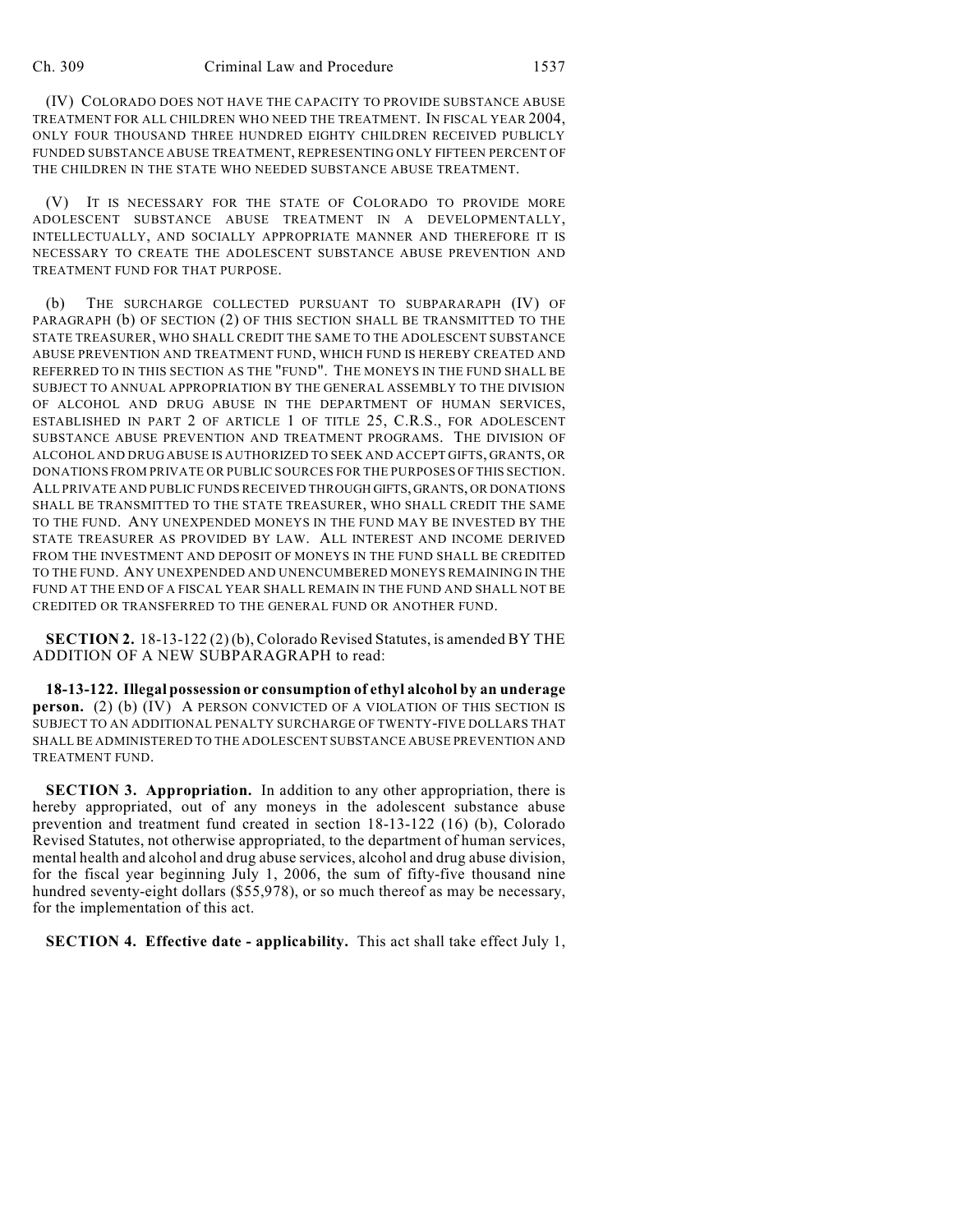(IV) COLORADO DOES NOT HAVE THE CAPACITY TO PROVIDE SUBSTANCE ABUSE TREATMENT FOR ALL CHILDREN WHO NEED THE TREATMENT. IN FISCAL YEAR 2004, ONLY FOUR THOUSAND THREE HUNDRED EIGHTY CHILDREN RECEIVED PUBLICLY FUNDED SUBSTANCE ABUSE TREATMENT, REPRESENTING ONLY FIFTEEN PERCENT OF THE CHILDREN IN THE STATE WHO NEEDED SUBSTANCE ABUSE TREATMENT.

(V) IT IS NECESSARY FOR THE STATE OF COLORADO TO PROVIDE MORE ADOLESCENT SUBSTANCE ABUSE TREATMENT IN A DEVELOPMENTALLY, INTELLECTUALLY, AND SOCIALLY APPROPRIATE MANNER AND THEREFORE IT IS NECESSARY TO CREATE THE ADOLESCENT SUBSTANCE ABUSE PREVENTION AND TREATMENT FUND FOR THAT PURPOSE.

(b) THE SURCHARGE COLLECTED PURSUANT TO SUBPARARAPH (IV) OF PARAGRAPH (b) OF SECTION (2) OF THIS SECTION SHALL BE TRANSMITTED TO THE STATE TREASURER, WHO SHALL CREDIT THE SAME TO THE ADOLESCENT SUBSTANCE ABUSE PREVENTION AND TREATMENT FUND, WHICH FUND IS HEREBY CREATED AND REFERRED TO IN THIS SECTION AS THE "FUND". THE MONEYS IN THE FUND SHALL BE SUBJECT TO ANNUAL APPROPRIATION BY THE GENERAL ASSEMBLY TO THE DIVISION OF ALCOHOL AND DRUG ABUSE IN THE DEPARTMENT OF HUMAN SERVICES, ESTABLISHED IN PART 2 OF ARTICLE 1 OF TITLE 25, C.R.S., FOR ADOLESCENT SUBSTANCE ABUSE PREVENTION AND TREATMENT PROGRAMS. THE DIVISION OF ALCOHOL AND DRUG ABUSE IS AUTHORIZED TO SEEK AND ACCEPT GIFTS, GRANTS, OR DONATIONS FROM PRIVATE OR PUBLIC SOURCES FOR THE PURPOSES OF THIS SECTION. ALL PRIVATE AND PUBLIC FUNDS RECEIVED THROUGH GIFTS, GRANTS, OR DONATIONS SHALL BE TRANSMITTED TO THE STATE TREASURER, WHO SHALL CREDIT THE SAME TO THE FUND. ANY UNEXPENDED MONEYS IN THE FUND MAY BE INVESTED BY THE STATE TREASURER AS PROVIDED BY LAW. ALL INTEREST AND INCOME DERIVED FROM THE INVESTMENT AND DEPOSIT OF MONEYS IN THE FUND SHALL BE CREDITED TO THE FUND. ANY UNEXPENDED AND UNENCUMBERED MONEYS REMAINING IN THE FUND AT THE END OF A FISCAL YEAR SHALL REMAIN IN THE FUND AND SHALL NOT BE CREDITED OR TRANSFERRED TO THE GENERAL FUND OR ANOTHER FUND.

**SECTION 2.** 18-13-122 (2) (b), Colorado Revised Statutes, is amended BY THE ADDITION OF A NEW SUBPARAGRAPH to read:

**18-13-122. Illegal possession or consumption of ethyl alcohol by an underage person.** (2) (b) (IV) A PERSON CONVICTED OF A VIOLATION OF THIS SECTION IS SUBJECT TO AN ADDITIONAL PENALTY SURCHARGE OF TWENTY-FIVE DOLLARS THAT SHALL BE ADMINISTERED TO THE ADOLESCENT SUBSTANCE ABUSE PREVENTION AND TREATMENT FUND.

**SECTION 3. Appropriation.** In addition to any other appropriation, there is hereby appropriated, out of any moneys in the adolescent substance abuse prevention and treatment fund created in section 18-13-122 (16) (b), Colorado Revised Statutes, not otherwise appropriated, to the department of human services, mental health and alcohol and drug abuse services, alcohol and drug abuse division, for the fiscal year beginning July 1, 2006, the sum of fifty-five thousand nine hundred seventy-eight dollars (\$55,978), or so much thereof as may be necessary, for the implementation of this act.

**SECTION 4. Effective date - applicability.** This act shall take effect July 1,